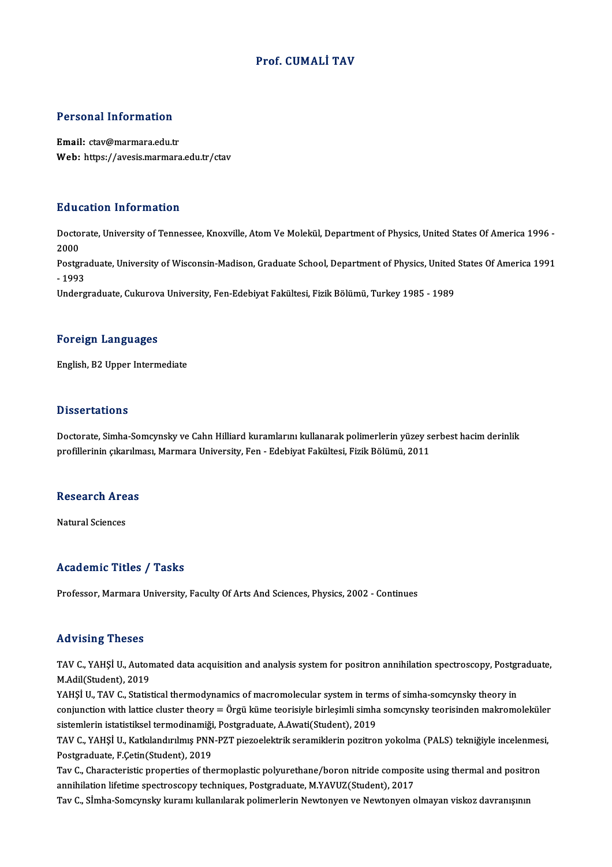## Prof. CUMALİ TAV

### Personal Information

Email: ctav@marmara.edu.tr Web: https://avesis.marmara.edu.tr/ctav

### Education Information

**Education Information**<br>Doctorate, University of Tennessee, Knoxville, Atom Ve Molekül, Department of Physics, United States Of America 1996 -<br>2000 Data<br>Docto<br>2000<br>Postar Doctorate, University of Tennessee, Knoxville, Atom Ve Molekül, Department of Physics, United States Of America 1996<br>2000<br>Postgraduate, University of Wisconsin-Madison, Graduate School, Department of Physics, United States 2000<br>Postgra<br>- 1993<br>Underg Postgraduate, University of Wisconsin-Madison, Graduate School, Department of Physics, United<br>- 1993<br>Undergraduate, Cukurova University, Fen-Edebiyat Fakültesi, Fizik Bölümü, Turkey 1985 - 1989 Undergraduate, Cukurova University, Fen-Edebiyat Fakültesi, Fizik Bölümü, Turkey 1985 - 1989<br>Foreign Languages

English,B2Upper Intermediate

### **Dissertations**

Doctorate, Simha-Somcynsky ve Cahn Hilliard kuramlarını kullanarak polimerlerin yüzey serbest hacim derinlik profillerinin çıkarılması, Marmara University, Fen - Edebiyat Fakültesi, Fizik Bölümü, 2011

# promermin çıkarınm<br>Research Areas <mark>Research Are</mark><br>Natural Sciences

# Natural Sciences<br>Academic Titles / Tasks

Professor, Marmara University, Faculty Of Arts And Sciences, Physics, 2002 - Continues

### Advising Theses

Advising Theses<br>TAV C., YAHŞİ U., Automated data acquisition and analysis system for positron annihilation spectroscopy, Postgraduate,<br>M.Adil(Student), 2019 TAV C., YAHŞİ U., Auton<br>M.Adil(Student), 2019<br>VAHSİ II. TAV C., Statist TAV C., YAHŞİ U., Automated data acquisition and analysis system for positron annihilation spectroscopy, Postgr<br>M.Adil(Student), 2019<br>YAHŞİ U., TAV C., Statistical thermodynamics of macromolecular system in terms of simha-

M.Adil(Student), 2019<br>YAHŞİ U., TAV C., Statistical thermodynamics of macromolecular system in terms of simha-somcynsky theory in<br>conjunction with lattice cluster theory = Örgü küme teorisiyle birleşimli simha somcynsky te YAHŞİ U., TAV C., Statistical thermodynamics of macromolecular system in teri<br>conjunction with lattice cluster theory = Örgü küme teorisiyle birleşimli simha<br>sistemlerin istatistiksel termodinamiği, Postgraduate, A.Awati(S conjunction with lattice cluster theory = Örgü küme teorisiyle birleşimli simha somcynsky teorisinden makromoleküler<br>sistemlerin istatistiksel termodinamiği, Postgraduate, A.Awati(Student), 2019<br>TAV C., YAHŞİ U., Katkıland

sistemlerin istatistiksel termodinamiği, Postgraduate, A.Awati(Student), 2019<br>TAV C., YAHŞİ U., Katkılandırılmış PNN-PZT piezoelektrik seramiklerin pozitron yokolma (PALS) tekniğiyle incelenmesi,<br>Postgraduate, F.Çetin(Stud TAV C., YAHŞİ U., Katkılandırılmış PNN-PZT piezoelektrik seramiklerin pozitron yokolma (PALS) tekniğiyle incelenmes<br>Postgraduate, F.Çetin(Student), 2019<br>Tav C., Characteristic properties of thermoplastic polyurethane/boron

Postgraduate, F.Çetin(Student), 2019<br>Tav C., Characteristic properties of thermoplastic polyurethane/boron nitride composi<br>annihilation lifetime spectroscopy techniques, Postgraduate, M.YAVUZ(Student), 2017<br>Tav C. S<sup>t</sup>imbe Tav C., Characteristic properties of thermoplastic polyurethane/boron nitride composite using thermal and positr<br>annihilation lifetime spectroscopy techniques, Postgraduate, M.YAVUZ(Student), 2017<br>Tav C., Sİmha-Somcynsky k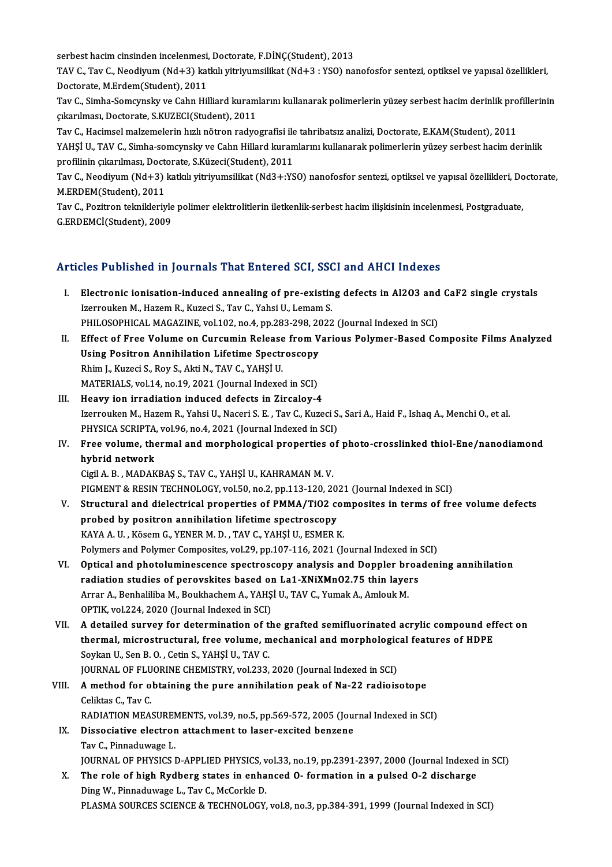serbest hacim cinsinden incelenmesi, Doctorate, F.DİNÇ(Student), 2013<br>TAV G. Tav G. Noodinum (Nd L2) katlak vitainumeililet (Nd L2 : VSO) na:

serbest hacim cinsinden incelenmesi, Doctorate, F.DİNÇ(Student), 2013<br>TAV C., Tav C., Neodiyum (Nd+3) katkılı yitriyumsilikat (Nd+3 : YSO) nanofosfor sentezi, optiksel ve yapısal özellikleri,<br>Destarata M.Erdam(Student), 20 serbest hacim cinsinden incelenmesi,<br>TAV C., Tav C., Neodiyum (Nd+3) kat<br>Doctorate, M.Erdem(Student), 2011<br>Tav C. Simba Samaunalu ve Cabn Hil TAV C., Tav C., Neodiyum (Nd+3) katkılı yitriyumsilikat (Nd+3 : YSO) nanofosfor sentezi, optiksel ve yapısal özellikleri,<br>Doctorate, M.Erdem(Student), 2011<br>Tav C., Simha-Somcynsky ve Cahn Hilliard kuramlarını kullanarak po

Doctorate, M.Erdem(Student), 2011<br>Tav C., Simha-Somcynsky ve Cahn Hilliard kuram<br>çıkarılması, Doctorate, S.KUZECI(Student), 2011<br>Tav C. Hasimsel malzemelerin hızlı nötren radve Tav C., Simha-Somcynsky ve Cahn Hilliard kuramlarını kullanarak polimerlerin yüzey serbest hacim derinlik pro<br>çıkarılması, Doctorate, S.KUZECI(Student), 2011<br>Tav C., Hacimsel malzemelerin hızlı nötron radyografisi ile tahr

çıkarılması, Doctorate, S.KUZECI(Student), 2011<br>Tav C., Hacimsel malzemelerin hızlı nötron radyografisi ile tahribatsız analizi, Doctorate, E.KAM(Student), 2011<br>YAHŞİ U., TAV C., Simha-somcynsky ve Cahn Hillard kuramlarını Tav C., Hacimsel malzemelerin hızlı nötron radyografisi ile<br>YAHŞİ U., TAV C., Simha-somcynsky ve Cahn Hillard kuran<br>profilinin çıkarılması, Doctorate, S.Küzeci(Student), 2011<br>Tav C. Noodinum (Nd L2) katlalı yitninumsilikat YAHŞİ U., TAV C., Simha-somcynsky ve Cahn Hillard kuramlarını kullanarak polimerlerin yüzey serbest hacim derinlik<br>profilinin çıkarılması, Doctorate, S.Küzeci(Student), 2011<br>Tav C., Neodiyum (Nd+3) katkılı yitriyumsilikat

profilinin çıkarılması, Doct<br>Tav C., Neodiyum (Nd+3)<br>M.ERDEM(Student), 2011<br>Tav C. Bogitron taknikleriy Tav C., Neodiyum (Nd+3) katkılı yitriyumsilikat (Nd3+:YSO) nanofosfor sentezi, optiksel ve yapısal özellikleri, Dc<br>M.ERDEM(Student), 2011<br>Tav C., Pozitron teknikleriyle polimer elektrolitlerin iletkenlik-serbest hacim iliş

M.ERDEM(Student), 2011<br>Tav C., Pozitron teknikleriyle polimer elektrolitlerin iletkenlik-serbest hacim ilişkisinin incelenmesi, Postgraduate,<br>G.ERDEMCİ(Student), 2009

# Articles Published in Journals That Entered SCI, SSCI and AHCI Indexes

- rticles Published in Journals That Entered SCI, SSCI and AHCI Indexes<br>I. Electronic ionisation-induced annealing of pre-existing defects in Al2O3 and CaF2 single crystals<br>Iserveylian M. Hazom B. Kuresi S. Tay C. Vabei U. L Izerrouken M., Hazem R., Kuzeci S., Tav C., Yahsi U., Lemam S.<br>PHILOSOPHICAL MAGAZINE, vol.102, no.4, pp.283-298, 2022 (Journal Indexed in SCI) Electronic ionisation-induced annealing of pre-existing defects in Al2O3 and<br>Izerrouken M., Hazem R., Kuzeci S., Tav C., Yahsi U., Lemam S.<br>PHILOSOPHICAL MAGAZINE, vol.102, no.4, pp.283-298, 2022 (Journal Indexed in SCI)<br>E Izerrouken M., Hazem R., Kuzeci S., Tav C., Yahsi U., Lemam S.<br>PHILOSOPHICAL MAGAZINE, vol.102, no.4, pp.283-298, 2022 (Journal Indexed in SCI)<br>II. Effect of Free Volume on Curcumin Release from Various Polymer-Based Compo
- PHILOSOPHICAL MAGAZINE, vol.102, no.4, pp.283-298, 20<br>Effect of Free Volume on Curcumin Release from V<br>Using Positron Annihilation Lifetime Spectroscopy<br>Phim L Kuresi S, Boy S, Akti N, TAV G, VAHSLU Effect of Free Volume on Curcumin Release<br>Using Positron Annihilation Lifetime Spectr<br>Rhim J., Kuzeci S., Roy S., Akti N., TAV C., YAHŞİ U.<br>MATERIAL S. vol 14. no 19.2021 (Journal Indoves Using Positron Annihilation Lifetime Spectroscopy<br>Rhim J., Kuzeci S., Roy S., Akti N., TAV C., YAHŞİ U.<br>MATERIALS, vol.14, no.19, 2021 (Journal Indexed in SCI)
- III. Heavy ion irradiation induced defects in Zircaloy-4 Izerrouken M., Hazem R., Yahsi U., Naceri S. E., Tav C., Kuzeci S., Sari A., Haid F., Ishaq A., Menchi O., et al. Heavy ion irradiation induced defects in Zircaloy-4<br>Izerrouken M., Hazem R., Yahsi U., Naceri S. E. , Tav C., Kuzeci S.<br>PHYSICA SCRIPTA, vol.96, no.4, 2021 (Journal Indexed in SCI)<br>Free volume, thermal and mernhelesisel pr Izerrouken M., Hazem R., Yahsi U., Naceri S. E. , Tav C., Kuzeci S., Sari A., Haid F., Ishaq A., Menchi O., et al.<br>PHYSICA SCRIPTA, vol.96, no.4, 2021 (Journal Indexed in SCI)<br>IV. Free volume, thermal and morphological pro
- PHYSICA SCRIPTA<br>Free volume, the<br>hybrid network<br>Civil A. B. MADAR Free volume, thermal and morphological properties o<br>hybrid network<br>Cigil A. B. , MADAKBAŞ S., TAV C., YAHŞİ U., KAHRAMAN M. V.<br>PICMENT & RESIN TECHNOLOCY, vel 50, no 2, nn 112, 120, 24 hybrid network<br>Cigil A. B. , MADAKBAŞ S., TAV C., YAHŞİ U., KAHRAMAN M. V.<br>PIGMENT & RESIN TECHNOLOGY, vol.50, no.2, pp.113-120, 2021 (Journal Indexed in SCI)<br>Structural and dialactrical proporties of BMMA (TiO2, composite

- Cigil A. B. , MADAKBAŞ S., TAV C., YAHŞİ U., KAHRAMAN M. V.<br>PIGMENT & RESIN TECHNOLOGY, vol.50, no.2, pp.113-120, 2021 (Journal Indexed in SCI)<br>V. Structural and dielectrical properties of PMMA/TiO2 composites in terms of PIGMENT & RESIN TECHNOLOGY, vol.50, no.2, pp.113-120, 20<br>Structural and dielectrical properties of PMMA/TiO2 co<br>probed by positron annihilation lifetime spectroscopy<br>KAVA A IL Kösom C VENER M D. TAV C VAHSUL ESMER L Structural and dielectrical properties of PMMA/TiO2 comprobed by positron annihilation lifetime spectroscopy<br>KAYA A.U., Kösem G., YENER M. D., TAV C., YAHŞİ U., ESMER K.<br>Polymars and Polymar Campasites vol 29, np 107,116, probed by positron annihilation lifetime spectroscopy<br>KAYA A. U. , Kösem G., YENER M. D. , TAV C., YAHŞİ U., ESMER K.<br>Polymers and Polymer Composites, vol.29, pp.107-116, 2021 (Journal Indexed in SCI) KAYA A. U. , Kösem G., YENER M. D. , TAV C., YAHŞİ U., ESMER K.<br>Polymers and Polymer Composites, vol.29, pp.107-116, 2021 (Journal Indexed in SCI)<br>VI. Optical and photoluminescence spectroscopy analysis and Doppler broaden
- Polymers and Polymer Composites, vol.29, pp.107-116, 2021 (Journal Indexed in<br>Optical and photoluminescence spectroscopy analysis and Doppler broa<br>radiation studies of perovskites based on La1-XNiXMnO2.75 thin layers<br>Arrar Optical and photoluminescence spectroscopy analysis and Doppler bradiation studies of perovskites based on La1-XNiXMnO2.75 thin layer<br>Arrar A., Benhaliliba M., Boukhachem A., YAHŞİ U., TAV C., Yumak A., Amlouk M.<br>OPTIK vol radiation studies of perovskites based on La1-XNiXMnO2.75 thin layers<br>Arrar A., Benhaliliba M., Boukhachem A., YAHŞİ U., TAV C., Yumak A., Amlouk M.<br>OPTIK, vol.224, 2020 (Journal Indexed in SCI) Arrar A., Benhaliliba M., Boukhachem A., YAHŞİ U., TAV C., Yumak A., Amlouk M.<br>OPTIK, vol.224, 2020 (Journal Indexed in SCI)<br>VII. A detailed survey for determination of the grafted semifluorinated acrylic compound effect o
- OPTIK, vol.224, 2020 (Journal Indexed in SCI)<br>A detailed survey for determination of the grafted semifluorinated acrylic compound ef<br>thermal, microstructural, free volume, mechanical and morphological features of HDPE<br>Sevk Soykan U., Sen B. O. , Cetin S., YAHŞİ U., TAV C.<br>JOURNAL OF FLUORINE CHEMISTRY, vol.233, 2020 (Journal Indexed in SCI) thermal, microstructural, free volume, mechanical and morphological features of HDPE Soykan U., Sen B. O. , Cetin S., YAHŞİ U., TAV C.<br>JOURNAL OF FLUORINE CHEMISTRY, vol.233, 2020 (Journal Indexed in SCI)<br>VIII. A method for obtaining the pure annihilation peak of Na-22 radioisotope

# **JOURNAL OF FLU<br>A method for of<br>Celiktas C., Tav C.<br>RADIATION MEA** A method for obtaining the pure annihilation peak of Na-22 radioisotope<br>Celiktas C., Tav C.<br>RADIATION MEASUREMENTS, vol.39, no.5, pp.569-572, 2005 (Journal Indexed in SCI)<br>Dissociative electron attachment to loser excited Celiktas C., Tav C.<br>RADIATION MEASUREMENTS, vol.39, no.5, pp.569-572, 2005 (Journal IX.<br>IX. Dissociative electron attachment to laser-excited benzene

# RADIATION MEASUREN<br>Dissociative electror<br>Tav C., Pinnaduwage L.<br>JOUPMAL OF PHYSICS L IX. Dissociative electron attachment to laser-excited benzene<br>Tav C., Pinnaduwage L.<br>JOURNAL OF PHYSICS D-APPLIED PHYSICS, vol.33, no.19, pp.2391-2397, 2000 (Journal Indexed in SCI) Tav C., Pinnaduwage L.<br>JOURNAL OF PHYSICS D-APPLIED PHYSICS, vol.33, no.19, pp.2391-2397, 2000 (Journal Indexed<br>X. The role of high Rydberg states in enhanced O- formation in a pulsed O-2 discharge<br>Ding W. Binnaduwage L. T

JOURNAL OF PHYSICS D-APPLIED PHYSICS, v<br>The role of high Rydberg states in enha<br>Ding W., Pinnaduwage L., Tav C., McCorkle D.<br>PLASMA SOURGES SCIENCE & TEGUNOLOGY The role of high Rydberg states in enhanced O- formation in a pulsed O-2 discharge<br>Ding W., Pinnaduwage L., Tav C., McCorkle D.<br>PLASMA SOURCES SCIENCE & TECHNOLOGY, vol.8, no.3, pp.384-391, 1999 (Journal Indexed in SCI)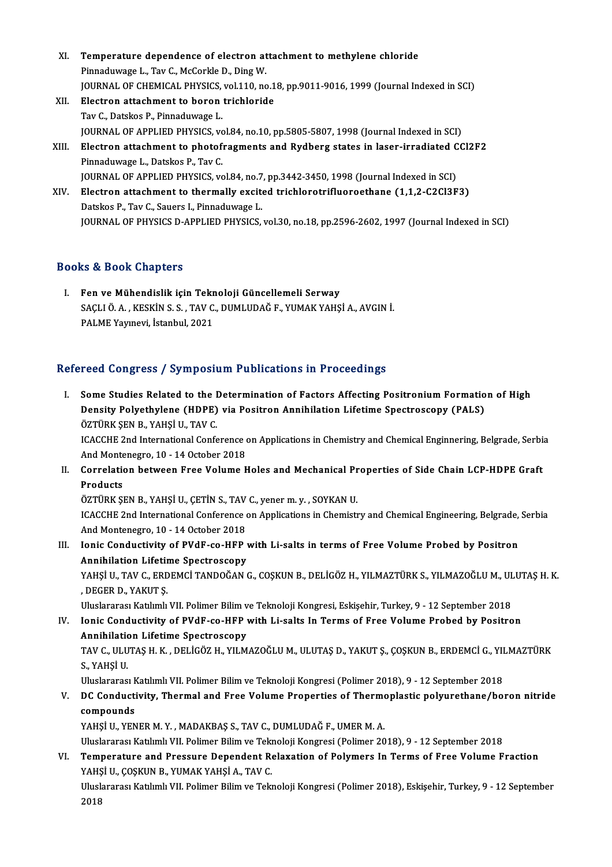- XI. Temperature dependence of electron attachment to methylene chloride<br>Rinnadwwase L. Tay G. MaCarkle D. Ding W. Temperature dependence of electron at<br>Pinnaduwage L., Tav C., McCorkle D., Ding W.<br>JOUPNAL OF CHEMICAL BHYSICS vol 110 Be Temperature dependence of electron attachment to methylene chloride<br>Pinnaduwage L., Tav C., McCorkle D., Ding W.<br>JOURNAL OF CHEMICAL PHYSICS, vol.110, no.18, pp.9011-9016, 1999 (Journal Indexed in SCI)<br>Flestren attachment Pinnaduwage L., Tav C., McCorkle D., Ding W.<br>JOURNAL OF CHEMICAL PHYSICS, vol.110, no.1<br>XII. Electron attachment to boron trichloride<br>Tav C. Datakas P. Binnaduwage J. **JOURNAL OF CHEMICAL PHYSICS,<br>Electron attachment to boron<br>Tav C., Datskos P., Pinnaduwage L.<br>JOUPNAL OF APPLIED PHYSICS W** Tav C., Datskos P., Pinnaduwage L.<br>JOURNAL OF APPLIED PHYSICS, vol.84, no.10, pp.5805-5807, 1998 (Journal Indexed in SCI)
- Tav C., Datskos P., Pinnaduwage L.<br>JOURNAL OF APPLIED PHYSICS, vol.84, no.10, pp.5805-5807, 1998 (Journal Indexed in SCI)<br>XIII. Electron attachment to photofragments and Rydberg states in laser-irradiated CCl2F2<br>Pinnaduura **JOURNAL OF APPLIED PHYSICS, vo<br>Electron attachment to photof<br>Pinnaduwage L., Datskos P., Tav C.<br>JOUPNAL OF APPLIED PHYSICS W** Electron attachment to photofragments and Rydberg states in laser-irradiated C<br>Pinnaduwage L., Datskos P., Tav C.<br>JOURNAL OF APPLIED PHYSICS, vol.84, no.7, pp.3442-3450, 1998 (Journal Indexed in SCI)<br>Flectron attachment to
- Pinnaduwage L., Datskos P., Tav C.<br>JOURNAL OF APPLIED PHYSICS, vol.84, no.7, pp.3442-3450, 1998 (Journal Indexed in SCI)<br>XIV. Electron attachment to thermally excited trichlorotrifluoroethane (1,1,2-C2Cl3F3)<br>Datskos P., Ta **JOURNAL OF APPLIED PHYSICS, vol.84, no.7**<br>**Electron attachment to thermally excite**<br>Datskos P., Tav C., Sauers I., Pinnaduwage L.<br>JOUPNAL OF PHYSICS D. APPLIED PHYSICS JOURNAL OF PHYSICS D-APPLIED PHYSICS, vol.30, no.18, pp.2596-2602, 1997 (Journal Indexed in SCI)

# Books&Book Chapters

I. Fen ve Mühendislik için Teknoloji Güncellemeli Serway SS & BSSK Shapters<br>Fen ve Mühendislik için Teknoloji Güncellemeli Serway<br>SAÇLI Ö. A. , KESKİN S. S. , TAV C., DUMLUDAĞ F., YUMAK YAHŞİ A., AVGIN İ.<br>RALME Yayınayi, İstanbul 2021 Fen ve Mühendislik için Tekr<br>SAÇLI Ö. A. , KESKİN S. S. , TAV C.<br>PALME Yayınevi, İstanbul, 2021

# PALME Yayınevi, İstanbul, 2021<br>Refereed Congress / Symposium Publications in Proceedings

efereed Congress / Symposium Publications in Proceedings<br>I. Some Studies Related to the Determination of Factors Affecting Positronium Formation of High<br>Density Polyothylane (UDBE) via Positron Annihilation Lifetime Spectr Tood Gongrossy by inposition a districtions in a recodentity.<br>Some Studies Related to the Determination of Factors Affecting Positronium Formatio<br>Density Polyethylene (HDPE) via Positron Annihilation Lifetime Spectroscopy Some Studies Related to the I<br>Density Polyethylene (HDPE)<br>ÖZTÜRK ŞEN B., YAHŞİ U., TAV C.<br>ICACCUE 2nd International Confe Density Polyethylene (HDPE) via Positron Annihilation Lifetime Spectroscopy (PALS)<br>ÖZTÜRK ŞEN B., YAHŞİ U., TAV C.<br>ICACCHE 2nd International Conference on Applications in Chemistry and Chemical Enginnering, Belgrade, Serbi

ÖZTÜRK ŞEN B., YAHŞİ U., TAV C.<br>ICACCHE 2nd International Conference<br>And Montenegro, 10 - 14 October 2018<br>Correlation between Eree Volume L And Montenegro, 10 - 14 October 2018

II. Correlation between Free Volume Holes and Mechanical Properties of Side Chain LCP-HDPE Graft<br>Products Correlation between Free Volume Holes and Mechanical Pr<br>Products<br>ÖZTÜRK ŞEN B., YAHŞİ U., ÇETİN S., TAV C., yener m. y. , SOYKAN U.<br>ICACCUE 2nd International Conference on Applications in Chamisti

ICACCHE 2nd International Conference on Applications in Chemistry and Chemical Engineering, Belgrade, Serbia<br>And Montenegro, 10 - 14 October 2018 ÖZTÜRK ŞEN B., YAHŞİ U., ÇETİN S., TAV<br>ICACCHE 2nd International Conference<br>And Montenegro, 10 - 14 October 2018<br>Ionis Condustivity of BVdE so HER : ICACCHE 2nd International Conference on Applications in Chemistry and Chemical Engineering, Belgrade,<br>And Montenegro, 10 - 14 October 2018<br>III. Ionic Conductivity of PVdF-co-HFP with Li-salts in terms of Free Volume Probed

And Montenegro, 10 - 14 October 2018<br>Ionic Conductivity of PVdF-co-HFP<br>Annihilation Lifetime Spectroscopy<br>YAHSUL TAV G-EPDEMCLTANDOČAN ( Ionic Conductivity of PVdF-co-HFP with Li-salts in terms of Free Volume Probed by Positron<br>Annihilation Lifetime Spectroscopy<br>YAHŞİ U., TAV C., ERDEMCİ TANDOĞAN G., COŞKUN B., DELİGÖZ H., YILMAZTÜRK S., YILMAZOĞLU M., ULUT

Annihilation Lifetir<br>YAHŞİ U., TAV C., ERD<br>, DEGER D., YAKUT Ş.<br>Uluslararası Katılımlı YAHŞİ U., TAV C., ERDEMCİ TANDOĞAN G., COŞKUN B., DELİGÖZ H., YILMAZTÜRK S., YILMAZOĞLU M., UL<br>, DEGER D., YAKUT Ş.<br>Uluslararası Katılımlı VII. Polimer Bilim ve Teknoloji Kongresi, Eskişehir, Turkey, 9 - 12 September 2018<br>

Uluslararası Katılımlı VII. Polimer Bilim ve Teknoloji Kongresi, Eskişehir, Turkey, 9 - 12 September 2018

IV. DEGER D., YAKUT \$.<br>Uluslararası Katılımlı VII. Polimer Bilim ve Teknoloji Kongresi, Eskişehir, Turkey, 9 - 12 September 2018<br>IV. Ionic Conductivity of PVdF-co-HFP with Li-salts In Terms of Free Volume Probed by Positro Ionic Conductivity of PVdF-co-HFP with Li-salts In Terms of Free Volume Probed by Positron<br>Annihilation Lifetime Spectroscopy<br>TAV C., ULUTAŞ H. K. , DELİGÖZ H., YILMAZOĞLU M., ULUTAŞ D., YAKUT Ş., ÇOŞKUN B., ERDEMCİ G., YI

<mark>Annihilatio</mark><br>TAV C., ULU<br>S., YAHŞİ U.<br>Uluslararec TAV C., ULUTAŞ H. K. , DELİGÖZ H., YILMAZOĞLU M., ULUTAŞ D., YAKUT Ş., ÇOŞKUN B., ERDEMCİ G., YII<br>S., YAHŞİ U.<br>Uluslararası Katılımlı VII. Polimer Bilim ve Teknoloji Kongresi (Polimer 2018), 9 - 12 September 2018<br>DC Condus

Uluslararası Katılımlı VII. Polimer Bilim ve Teknoloji Kongresi (Polimer 2018), 9 - 12 September 2018

# S., YAHŞİ U.<br>Uluslararası Katılımlı VII. Polimer Bilim ve Teknoloji Kongresi (Polimer 2018), 9 - 12 September 2018<br>V. DC Conductivity, Thermal and Free Volume Properties of Thermoplastic polyurethane/boron nitride<br>comp co<mark>mpounds</mark><br>YAHŞİ U., YENER M. Y. , MADAKBAŞ S., TAV C., DUMLUDAĞ F., UMER M. A.<br>Uluslararası Katılımlı VII. Polimer Bilim ve Teknoloji Kongresi (Polimer 2018), 9 - 12 September 2018<br>Temperature and Pressure Dependent Bele

YAHŞİU., YENER M.Y., MADAKBAŞ S., TAV C., DUMLUDAĞ F., UMER M.A.

# VI. Temperature and Pressure Dependent Relaxation of Polymers In Terms of Free Volume Fraction Uluslararası Katılımlı VII. Polimer Bilim ve Tek<mark>l</mark><br>Temperature and Pressure Dependent Ro<br>YAHŞİ U., ÇOŞKUN B., YUMAK YAHŞİ A., TAV C.<br>Uluslararası Katılımlı VII. Bolimar Bilim ve Teln YAHŞİ U, ÇOŞKUN B., YUMAK YAHŞİ A., TAV C.

Uluslararası Katılımlı VII. Polimer Bilim ve Teknoloji Kongresi (Polimer 2018), Eskişehir, Turkey, 9 - 12 September 2018